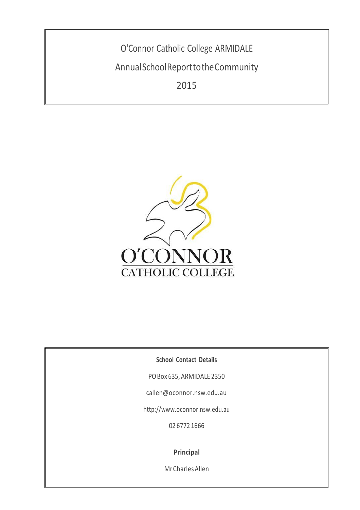O'Connor Catholic College ARMIDALE AnnualSchoolReporttotheCommunity 2015



**School Contact Details**

POBox 635, ARMIDALE 2350

[callen@oconnor.nsw.edu.au](mailto:callen@oconnor.nsw.edu.au)

[http://www.oconnor.nsw.edu.au](http://www.oconnor.nsw.edu.au/)

02 6772 1666

**Principal**

MrCharlesAllen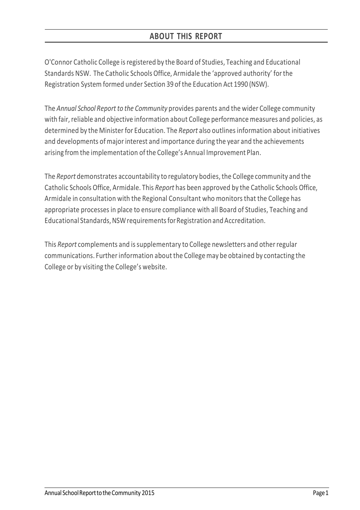O'Connor Catholic College isregistered by the Board of Studies, Teaching and Educational Standards NSW. The Catholic Schools Office, Armidale the 'approved authority' forthe Registration System formed under Section 39 of the Education Act 1990 (NSW).

The *Annual School Report to the Community* provides parents and the wider College community with fair, reliable and objective information about College performance measures and policies, as determined by the Minister for Education. The *Report* also outlinesinformation about initiatives and developments ofmajor interest and importance during the year and the achievements arising from the implementation ofthe College's Annual Improvement Plan.

The *Report* demonstrates accountability to regulatory bodies, the College community and the Catholic Schools Office, Armidale. This *Report* has been approved by the Catholic Schools Office, Armidale in consultation with the Regional Consultant who monitors that the College has appropriate processesin place to ensure compliance with all Board of Studies, Teaching and Educational Standards, NSW requirements for Registration and Accreditation.

This *Report* complements and issupplementary to College newsletters and otherregular communications. Furtherinformation about the College may be obtained by contacting the College or by visiting the College's website.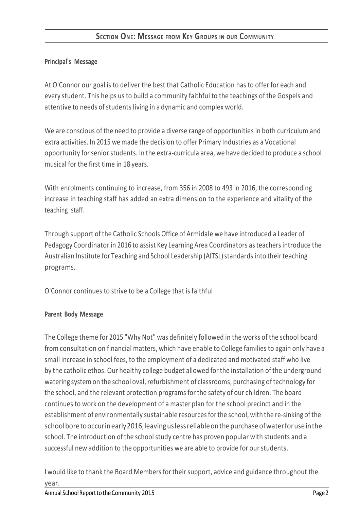# **SECTION ONE: MESSAGE FROM KEY GROUPS IN OUR COMMUNITY**

## **Principal's Message**

At O'Connor our goal is to deliver the best that Catholic Education has to offer for each and every student. This helps us to build a community faithful to the teachings of the Gospels and attentive to needs of students living in a dynamic and complex world.

We are conscious of the need to provide a diverse range of opportunities in both curriculum and extra activities. In 2015 we made the decision to offer Primary Industries as a Vocational opportunity for senior students. In the extra-curricula area, we have decided to produce a school musical for the first time in 18 years.

With enrolments continuing to increase, from 356 in 2008 to 493 in 2016, the corresponding increase in teaching staff has added an extra dimension to the experience and vitality of the teaching staff.

Through support of the Catholic Schools Office of Armidale we have introduced a Leader of Pedagogy Coordinator in 2016 to assist Key Learning Area Coordinators as teachers introduce the Australian Institute for Teaching and School Leadership (AITSL) standards into their teaching programs.

O'Connor continues to strive to be a College that is faithful

### **Parent Body Message**

The College theme for 2015 "Why Not" was definitely followed in the works of the school board from consultation on financial matters, which have enable to College families to again only have a small increase in school fees, to the employment of a dedicated and motivated staff who live by the catholic ethos. Our healthy college budget allowed forthe installation of the underground watering system on the school oval, refurbishment of classrooms, purchasing of technology for the school, and the relevant protection programs for the safety of our children. The board continues to work on the development of a master plan for the school precinct and in the establishment of environmentally sustainable resources for the school, with the re-sinking of the schoolboretooccurinearly2016,leavinguslessreliableonthepurchaseofwaterforuseinthe school. The introduction of the school study centre has proven popular with students and a successful new addition to the opportunities we are able to provide for our students.

I would like to thank the Board Members for their support, advice and guidance throughout the year.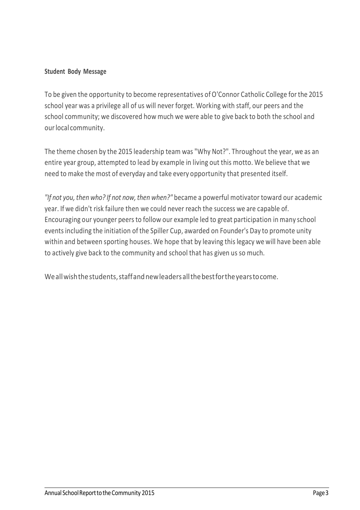## **Student Body Message**

To be given the opportunity to become representatives of O'Connor Catholic College for the 2015 school year was a privilege all of us will never forget. Working with staff, our peers and the school community; we discovered how much we were able to give back to both the school and our local community.

The theme chosen by the 2015 leadership team was "Why Not?". Throughout the year, we as an entire year group, attempted to lead by example in living out this motto. We believe that we need to make the most of everyday and take every opportunity that presented itself.

"If not you, then who? If not now, then when?" became a powerful motivator toward our academic year. If we didn't risk failure then we could never reach the success we are capable of. Encouraging our younger peers to follow our example led to great participation in many school events including the initiation of the Spiller Cup, awarded on Founder's Day to promote unity within and between sporting houses. We hope that by leaving this legacy we will have been able to actively give back to the community and school that has given us so much.

Weallwishthestudents,staffandnewleadersallthebestfortheyearstocome.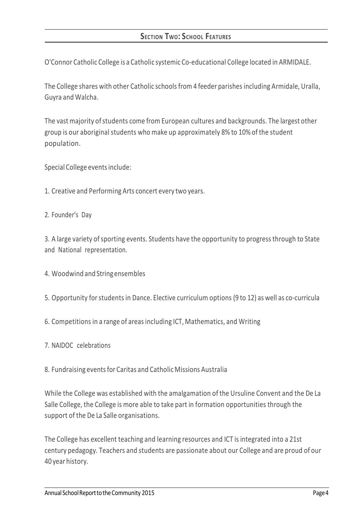# **SECTION TWO: SCHOOL FEATURES**

O'Connor Catholic College is a Catholic systemic Co-educational College located in ARMIDALE.

The College shares with other Catholic schools from 4 feeder parishes including Armidale, Uralla, Guyra and Walcha.

The vast majority of students come from European cultures and backgrounds. The largest other group is our aboriginal students who make up approximately 8% to 10% of the student population.

Special College events include:

- 1. Creative and Performing Arts concert every two years.
- 2. Founder's Day

3. A large variety of sporting events. Students have the opportunity to progress through to State and National representation.

- 4. Woodwind and String ensembles
- 5. Opportunity forstudents in Dance. Elective curriculum options (9 to 12) as well as co-curricula
- 6. Competitions in a range of areasincluding ICT, Mathematics, and Writing
- 7. NAIDOC celebrations
- 8. Fundraising eventsfor Caritas and Catholic Missions Australia

While the College was established with the amalgamation of the Ursuline Convent and the De La Salle College, the College is more able to take part in formation opportunities through the support of the De La Salle organisations.

The College has excellent teaching and learning resources and ICT is integrated into a 21st century pedagogy. Teachers and students are passionate about our College and are proud of our 40 year history.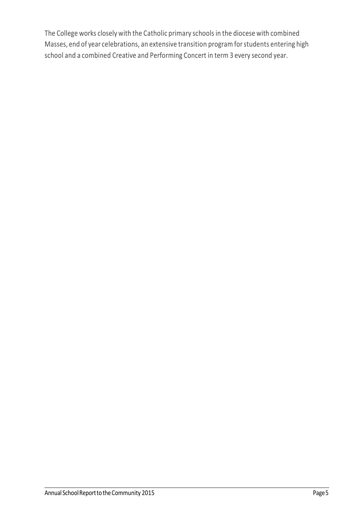The College works closely with the Catholic primary schools in the diocese with combined Masses, end of year celebrations, an extensive transition program forstudents entering high school and a combined Creative and Performing Concert in term 3 every second year.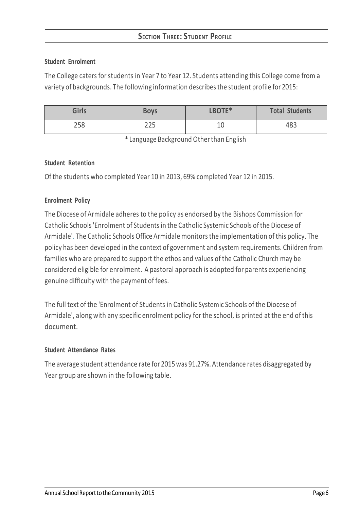## **Student Enrolment**

The College caters for students in Year 7 to Year 12. Students attending this College come from a variety of backgrounds. The following information describesthe student profile for 2015:

| <b>Girls</b> | <b>Boys</b> | LBOTE*   | <b>Total Students</b> |
|--------------|-------------|----------|-----------------------|
| 258          | つつに<br>223  | 10<br>⊥∪ | 483                   |

\* Language Background Otherthan English

### **Student Retention**

Of the students who completed Year 10 in 2013, 69% completed Year 12 in 2015.

## **Enrolment Policy**

The Diocese of Armidale adheres to the policy as endorsed by the Bishops Commission for Catholic Schools'Enrolment of Students in the Catholic Systemic Schools ofthe Diocese of Armidale'*[.](http://www.ceosyd.catholic.edu.au/About/Pages/pol-pos-papers.aspx)* The Catholic Schools Office Armidale monitorsthe implementation ofthis policy. The policy has been developed in the context of government and system requirements. Children from families who are prepared to support the ethos and values of the Catholic Church may be considered eligible for enrolment. A pastoral approach is adopted for parents experiencing genuine difficulty with the payment of fees.

The full text of the 'Enrolment of Students in Catholic Systemic Schools of the Diocese of Armidale', along with any specific enrolment policy for the school, is printed at the end of this document.

### **Student Attendance Rates**

The average student attendance rate for 2015was 91.27%. Attendance rates disaggregated by Year group are shown in the following table.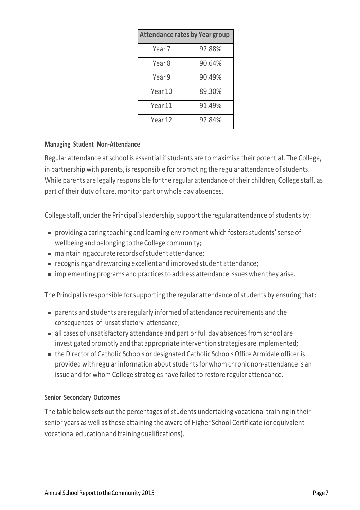| <b>Attendance rates by Year group</b> |        |  |  |  |  |
|---------------------------------------|--------|--|--|--|--|
| Year 7                                | 92.88% |  |  |  |  |
| Year 8                                | 90.64% |  |  |  |  |
| Year 9                                | 90.49% |  |  |  |  |
| Year 10                               | 89.30% |  |  |  |  |
| Year 11                               | 91.49% |  |  |  |  |
| Year 12                               | 92.84% |  |  |  |  |

## **Managing Student Non-Attendance**

Regular attendance at school is essential if students are to maximise their potential. The College, in partnership with parents, is responsible for promoting the regular attendance of students. While parents are legally responsible forthe regular attendance of their children, College staff, as part of their duty of care, monitor part or whole day absences.

College staff, under the Principal's leadership, support the regular attendance of students by:

- **Providing a caring teaching and learning environment which fosters students' sense of** wellbeing and belonging to the College community;
- maintaining accurate records ofstudent attendance;
- recognising and rewarding excellent and improved student attendance;
- implementing programs and practicesto address attendance issues when they arise.

The Principal is responsible for supporting the regular attendance of students by ensuring that:

- parents and students are regularly informed of attendance requirements and the consequences of unsatisfactory attendance;
- all cases of unsatisfactory attendance and part or full day absences from school are investigated promptly and that appropriate intervention strategies are implemented;
- the Director of Catholic Schools or designated Catholic Schools Office Armidale officer is provided with regular information about students for whom chronic non-attendance is an issue and for whom College strategies have failed to restore regular attendance.

### **Senior Secondary Outcomes**

The table below sets out the percentages of students undertaking vocational training in their senior years as well as those attaining the award of Higher School Certificate (or equivalent vocational educationandtrainingqualifications).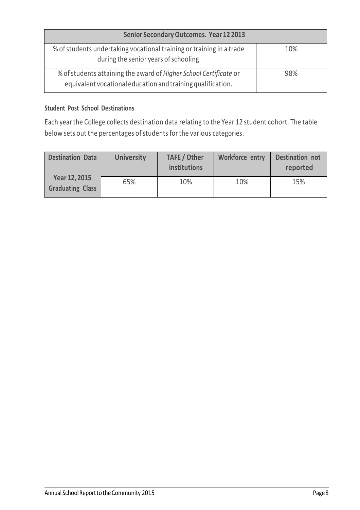| <b>Senior Secondary Outcomes. Year 12 2013</b>                                                                                   |     |
|----------------------------------------------------------------------------------------------------------------------------------|-----|
| % of students undertaking vocational training or training in a trade<br>during the senior years of schooling.                    | 10% |
| % of students attaining the award of Higher School Certificate or<br>equivalent vocational education and training qualification. | 98% |

### **Student Post School Destinations**

Each yearthe College collects destination data relating to the Year 12 student cohort. The table below sets out the percentages of students for the various categories.

| <b>Destination Data</b>                  | <b>University</b> | <b>TAFE / Other</b><br>institutions | Workforce entry | <b>Destination not</b><br>reported |
|------------------------------------------|-------------------|-------------------------------------|-----------------|------------------------------------|
| Year 12, 2015<br><b>Graduating Class</b> | 65%               | 10%                                 | 10%             | 15%                                |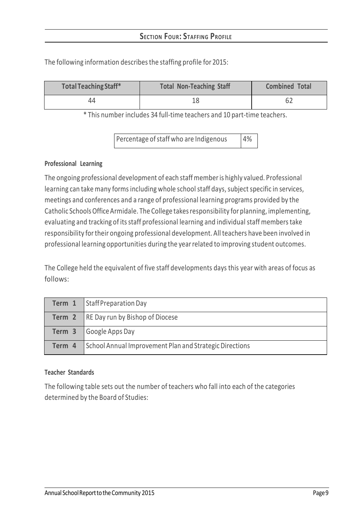| <b>Total Teaching Staff*</b> | <b>Total Non-Teaching Staff</b> | <b>Combined Total</b> |
|------------------------------|---------------------------------|-----------------------|
| 44                           |                                 | 62                    |

The following information describes the staffing profile for 2015:

\* This number includes 34 full-time teachers and 10 part-time teachers.

Percentage of staff who are Indigenous  $|4\%|$ 

### **Professional Learning**

The ongoing professional development of each staffmemberis highly valued. Professional learning can take many forms including whole school staff days, subject specific in services, meetings and conferences and a range of professional learning programs provided by the Catholic SchoolsOfficeArmidale. The College takesresponsibility for planning, implementing, evaluating and tracking of its staff professional learning and individual staff members take responsibility fortheir ongoing professional development. Allteachers have been involved in professional learning opportunities during the yearrelated to improving student outcomes.

The College held the equivalent of five staff developments days this year with areas of focus as follows:

|        | <b>Term 1</b> Staff Preparation Day                     |
|--------|---------------------------------------------------------|
|        | <b>Term 2</b> RE Day run by Bishop of Diocese           |
|        | <b>Term 3</b> Google Apps Day                           |
| Term 4 | School Annual Improvement Plan and Strategic Directions |

### **Teacher Standards**

The following table sets out the number of teachers who fall into each of the categories determined by the Board of Studies: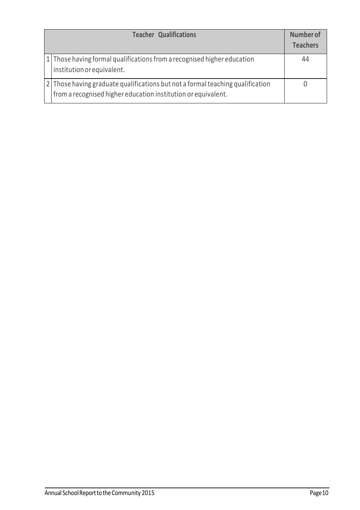| <b>Teacher Qualifications</b>                                                                                                                   | <b>Number of</b><br><b>Teachers</b> |
|-------------------------------------------------------------------------------------------------------------------------------------------------|-------------------------------------|
| 1 Those having formal qualifications from a recognised higher education<br>institution or equivalent.                                           | 44                                  |
| 2 Those having graduate qualifications but not a formal teaching qualification<br>from a recognised higher education institution or equivalent. |                                     |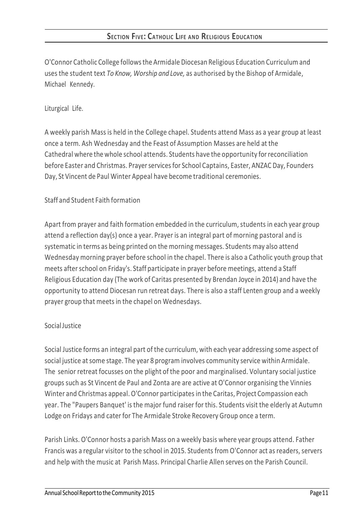O'Connor Catholic College followsthe Armidale Diocesan Religious Education Curriculum and uses the student text *To Know, Worship and Love,* as authorised by the Bishop of Armidale, Michael Kennedy.

# Liturgical Life.

A weekly parish Mass is held in the College chapel. Students attend Mass as a year group at least once a term. Ash Wednesday and the Feast of Assumption Masses are held at the Cathedral where the whole school attends. Students have the opportunity forreconciliation before Easter and Christmas. Prayer services for School Captains, Easter, ANZAC Day, Founders Day, St Vincent de Paul Winter Appeal have become traditional ceremonies.

# Staff and Student Faith formation

Apart from prayer and faith formation embedded in the curriculum, students in each year group attend a reflection day(s) once a year. Prayer is an integral part of morning pastoral and is systematic in terms as being printed on the morning messages. Students may also attend Wednesday morning prayer before school in the chapel. There is also a Catholic youth group that meets after school on Friday's. Staff participate in prayer before meetings, attend a Staff Religious Education day (The work of Caritas presented by Brendan Joyce in 2014) and have the opportunity to attend Diocesan run retreat days. There is also a staff Lenten group and a weekly prayer group that meets in the chapel on Wednesdays.

## **Social Justice**

Social Justice forms an integral part of the curriculum, with each year addressing some aspect of social justice at some stage. The year 8 program involves community service within Armidale. The senior retreat focusses on the plight of the poor and marginalised. Voluntary social justice groups such as St Vincent de Paul and Zonta are are active at O'Connor organising the Vinnies Winter and Christmas appeal. O'Connor participates in the Caritas, Project Compassion each year. The "Paupers Banquet' isthe major fund raiser for this. Students visit the elderly at Autumn Lodge on Fridays and cater for The Armidale Stroke Recovery Group once a term.

Parish Links. O'Connor hosts a parish Mass on a weekly basis where year groups attend. Father Francis was a regular visitor to the school in 2015. Students from O'Connor act as readers, servers and help with the music at Parish Mass. Principal Charlie Allen serves on the Parish Council.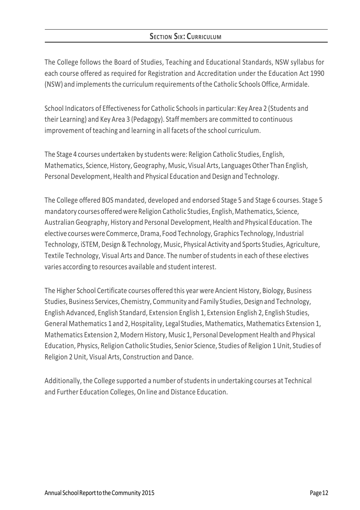# **SECTION SIX: CURRICULUM**

The College follows the Board of Studies, Teaching and Educational Standards, NSW syllabus for each course offered as required for Registration and Accreditation under the Education Act 1990 (NSW) and implements the curriculum requirements of the Catholic Schools Office, Armidale.

School Indicators of Effectiveness for Catholic Schools in particular: Key Area 2 (Students and their Learning) and Key Area 3 (Pedagogy). Staff members are committed to continuous improvement of teaching and learning in all facets of the school curriculum.

The Stage 4 courses undertaken by students were: Religion Catholic Studies, English, Mathematics, Science, History, Geography, Music, Visual Arts, Languages Other Than English, Personal Development, Health and Physical Education and Design and Technology.

The College offered BOS mandated, developed and endorsed Stage 5 and Stage 6 courses. Stage 5 mandatory courses offered were Religion Catholic Studies, English, Mathematics, Science, Australian Geography, History and Personal Development, Health and Physical Education. The elective courses were Commerce, Drama, Food Technology, Graphics Technology, Industrial Technology, iSTEM, Design&Technology, Music, Physical Activity and Sports Studies, Agriculture, Textile Technology, Visual Arts and Dance. The number ofstudents in each of these electives varies according to resources available and student interest.

The Higher School Certificate courses offered this year were Ancient History, Biology, Business Studies, Business Services, Chemistry, Community and Family Studies, Design and Technology, English Advanced, English Standard, Extension English 1, Extension English 2, English Studies, General Mathematics 1 and 2, Hospitality, Legal Studies, Mathematics, Mathematics Extension 1, Mathematics Extension 2, Modern History, Music 1, Personal Development Health and Physical Education, Physics, Religion Catholic Studies, Senior Science, Studies of Religion 1Unit, Studies of Religion 2Unit, Visual Arts, Construction and Dance.

Additionally, the College supported a number ofstudents in undertaking courses at Technical and Further Education Colleges, On line and Distance Education.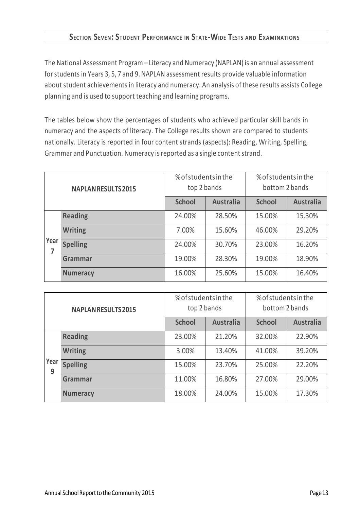# **SECTION SEVEN: STUDENT PERFORMANCE IN STATE-WIDE TESTS AND EXAMINATIONS**

The National Assessment Program – Literacy and Numeracy (NAPLAN) is an annual assessment for students in Years 3, 5, 7 and 9. NAPLAN assessment results provide valuable information about student achievements in literacy and numeracy. An analysis of these results assists College planning and is used to support teaching and learning programs.

The tables below show the percentages of students who achieved particular skill bands in numeracy and the aspects of literacy. The College results shown are compared to students nationally. Literacy is reported in four content strands (aspects): Reading, Writing, Spelling, Grammar and Punctuation. Numeracy is reported as a single content strand.

| <b>NAPLAN RESULTS 2015</b> |                 | % of students in the<br>top 2 bands |                  | % of students in the<br>bottom 2 bands |                  |  |
|----------------------------|-----------------|-------------------------------------|------------------|----------------------------------------|------------------|--|
|                            |                 | <b>School</b>                       | <b>Australia</b> | <b>School</b>                          | <b>Australia</b> |  |
|                            | <b>Reading</b>  | 24.00%                              | 28.50%           | 15.00%                                 | 15.30%           |  |
|                            | <b>Writing</b>  | 7.00%                               | 15.60%           | 46.00%                                 | 29.20%           |  |
| Year                       | <b>Spelling</b> | 24.00%                              | 30.70%           | 23.00%                                 | 16.20%           |  |
|                            | Grammar         | 19.00%                              | 28.30%           | 19.00%                                 | 18.90%           |  |
|                            | <b>Numeracy</b> | 25.60%<br>16.00%                    |                  | 15.00%                                 | 16.40%           |  |

| <b>NAPLAN RESULTS 2015</b> |                 | % of students in the<br>top 2 bands |                  | % of students in the<br>bottom 2 bands |                  |  |
|----------------------------|-----------------|-------------------------------------|------------------|----------------------------------------|------------------|--|
|                            |                 | <b>School</b>                       | <b>Australia</b> | <b>School</b>                          | <b>Australia</b> |  |
|                            | <b>Reading</b>  | 23.00%                              | 21.20%           | 32.00%                                 | 22.90%           |  |
| Year<br>9                  | <b>Writing</b>  | 3.00%                               | 13.40%           | 41.00%                                 | 39.20%           |  |
|                            | <b>Spelling</b> | 15.00%                              | 23.70%           | 25.00%                                 | 22.20%           |  |
|                            | <b>Grammar</b>  | 11.00%                              | 16.80%           | 27.00%                                 | 29.00%           |  |
|                            | <b>Numeracy</b> | 24.00%<br>18.00%                    |                  | 15.00%                                 | 17.30%           |  |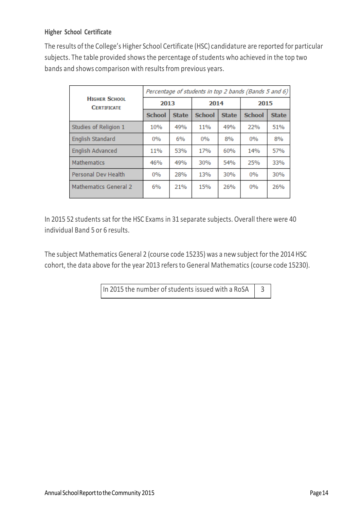## **Higher School Certificate**

The results ofthe College's Higher School Certificate (HSC) candidature are reported for particular subjects. The table provided shows the percentage of students who achieved in the top two bands and shows comparison with results from previous years.

|                                            | Percentage of students in top 2 bands (Bands 5 and 6) |              |               |              |               |              |  |
|--------------------------------------------|-------------------------------------------------------|--------------|---------------|--------------|---------------|--------------|--|
| <b>HIGHER SCHOOL</b><br><b>CERTIFICATE</b> | 2013                                                  |              | 2014          |              | 2015          |              |  |
|                                            | <b>School</b>                                         | <b>State</b> | <b>School</b> | <b>State</b> | <b>School</b> | <b>State</b> |  |
| Studies of Religion 1                      | 10%                                                   | 49%          | 11%           | 49%          | 22%           | 51%          |  |
| <b>English Standard</b>                    | 0%                                                    | 6%           | $0\%$         | 8%           | $0\%$         | 8%           |  |
| <b>English Advanced</b>                    | 11%                                                   | 53%          | 17%           | 60%          | 14%           | 57%          |  |
| Mathematics                                | 46%                                                   | 49%          | 30%           | 54%          | 25%           | 33%          |  |
| <b>Personal Dev Health</b>                 | $0\%$                                                 | 28%          | 13%           | 30%          | 0%            | 30%          |  |
| Mathematics General 2                      | 6%                                                    | 21%          | 15%           | 26%          | $0\%$         | 26%          |  |

In 2015 52 students sat for the HSC Exams in 31 separate subjects. Overall there were 40 individual Band 5 or 6 results.

The subject Mathematics General 2 (course code 15235) was a new subject for the 2014 HSC cohort, the data above for the year 2013 refersto General Mathematics (course code 15230).

In 2015 the number of students issued with a RoSA  $\parallel$  3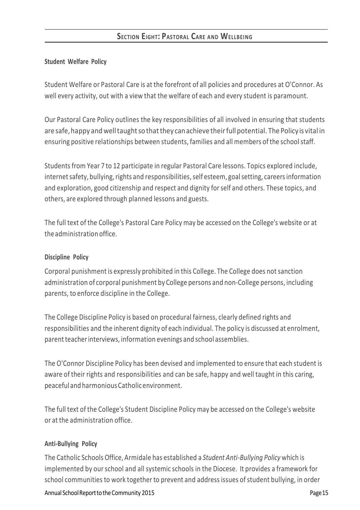## **SECTION EIGHT: PASTORAL CARE AND WELLBEING**

#### **Student Welfare Policy**

Student Welfare or Pastoral Care is at the forefront of all policies and procedures at O'Connor. As well every activity, out with a view that the welfare of each and every student is paramount.

Our Pastoral Care Policy outlines the key responsibilities of all involved in ensuring that students are safe, happy and well taught so that they can achieve their full potential. The Policy is vital in ensuring positive relationships between students, families and all members of the schoolstaff.

Students from Year 7 to 12 participate in regular Pastoral Care lessons. Topics explored include, internet safety, bullying, rights and responsibilities, self esteem, goal setting, careers information and exploration, good citizenship and respect and dignity forself and others. These topics, and others, are explored through planned lessons and guests.

The full text of the College's Pastoral Care Policy may be accessed on the College's website or at theadministration office.

#### **Discipline Policy**

Corporal punishment is expressly prohibited in this College. The College does notsanction administration of corporal punishment by College persons and non-College persons, including parents, to enforce discipline in the College.

The College Discipline Policy is based on procedural fairness, clearly defined rights and responsibilities and the inherent dignity of each individual. The policy is discussed at enrolment, parent teacher interviews, information evenings and school assemblies.

The O'Connor Discipline Policy has been devised and implemented to ensure that each student is aware of their rights and responsibilities and can be safe, happy and well taught in this caring, peacefuland harmoniousCatholicenvironment.

The full text of the College's Student Discipline Policy may be accessed on the College's website or at the administration office.

### **Anti-Bullying Policy**

The Catholic Schools Office, Armidale has established a *Student Anti-Bullying Policy* which is implemented by our school and all systemic schools in the Diocese. It provides a framework for school communities to work together to prevent and address issues of student bullying, in order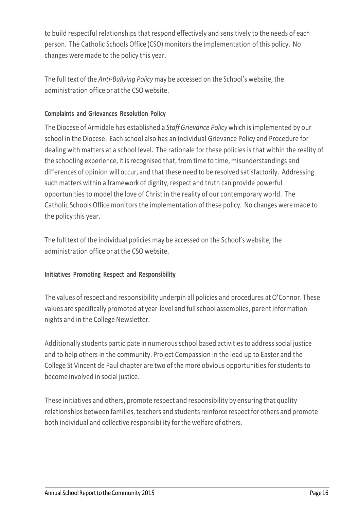to build respectful relationships that respond effectively and sensitively to the needs of each person. The Catholic Schools Office (CSO) monitors the implementation of this policy. No changes were made to the policy this year.

The full text of the *Anti-Bullying Policy* may be accessed on the School's website, the administration office or at the CSO website.

## **Complaints and Grievances Resolution Policy**

The Diocese of Armidale has established a *Staff Grievance Policy* which is implemented by our school in the Diocese. Each school also has an individual Grievance Policy and Procedure for dealing with matters at a school level. The rationale for these policies is that within the reality of the schooling experience, it is recognised that, from time to time, misunderstandings and differences of opinion will occur, and that these need to be resolved satisfactorily. Addressing such matters within a framework of dignity, respect and truth can provide powerful opportunities to model the love of Christ in the reality of our contemporary world. The Catholic Schools Office monitors the implementation of these policy. No changes were made to the policy this year.

The full text of the individual policies may be accessed on the School's website, the administration office or at the CSO website.

## **Initiatives Promoting Respect and Responsibility**

The values ofrespect and responsibility underpin all policies and procedures at O'Connor. These values are specifically promoted at year-level and fullschool assemblies, parent information nights and in the College Newsletter.

Additionally students participate in numerous school based activities to address social justice and to help others in the community. Project Compassion in the lead up to Easter and the College St Vincent de Paul chapter are two of the more obvious opportunities for students to become involved in social justice.

These initiatives and others, promote respect and responsibility by ensuring that quality relationships between families, teachers and students reinforce respect for others and promote both individual and collective responsibility forthe welfare of others.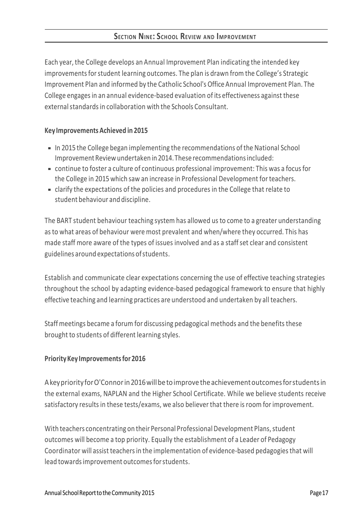Each year, the College develops an Annual Improvement Plan indicating the intended key improvements for student learning outcomes. The plan is drawn from the College's Strategic Improvement Plan and informed by the Catholic School's Office Annual Improvement Plan. The College engagesin an annual evidence-based evaluation of its effectiveness against these external standards in collaboration with the Schools Consultant.

### **Key ImprovementsAchieved in 2015**

- In 2015 the College began implementing the recommendations of the National School Improvement Reviewundertaken in 2014.These recommendationsincluded:
- continue to foster a culture of continuous professional improvement: This was a focusfor the College in 2015 which saw an increase in Professional Development for teachers.
- clarify the expectations of the policies and procedures in the College that relate to student behaviour and discipline.

The BART student behaviour teaching system has allowed us to come to a greater understanding asto what areas of behaviour were most prevalent and when/where they occurred. This has made staff more aware of the types of issues involved and as a staffset clear and consistent guidelines around expectations ofstudents.

Establish and communicate clear expectations concerning the use of effective teaching strategies throughout the school by adapting evidence-based pedagogical framework to ensure that highly effective teaching and learning practices are understood and undertaken by all teachers.

Staffmeetings became a forum for discussing pedagogical methods and the benefits these brought to students of different learning styles.

## **PriorityKey Improvementsfor 2016**

A key priority for O'Connor in 2016 will be to improve the achievement outcomes for students in the external exams, NAPLAN and the Higher School Certificate. While we believe students receive satisfactory results in these tests/exams, we also believer that there isroom for improvement.

With teachers concentrating on their Personal Professional Development Plans, student outcomes will become a top priority. Equally the establishment of a Leader of Pedagogy Coordinator will assist teachers in the implementation of evidence-based pedagogies that will lead towardsimprovement outcomesforstudents.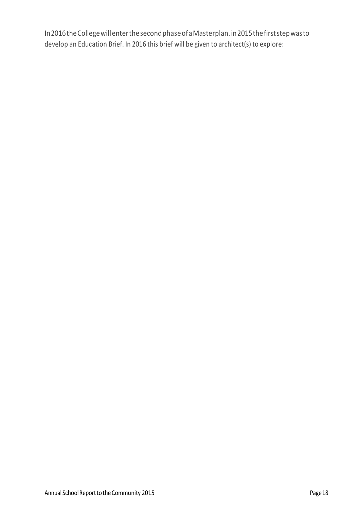In2016theCollegewillenterthesecondphaseofaMasterplan.in2015thefirststepwasto develop an Education Brief. In 2016 this brief will be given to architect(s) to explore: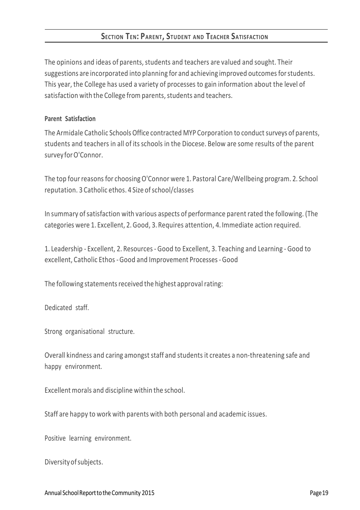## **SECTION TEN: PARENT, STUDENT AND TEACHER SATISFACTION**

The opinions and ideas of parents, students and teachers are valued and sought. Their suggestions are incorporated into planning for and achieving improved outcomes for students. This year, the College has used a variety of processes to gain information about the level of satisfaction with the College from parents, students and teachers.

#### **Parent Satisfaction**

The Armidale Catholic Schools Office contracted MYP Corporation to conduct surveys of parents, students and teachers in all of its schools in the Diocese. Below are some results of the parent survey for O'Connor.

The top four reasons for choosingO'Connor were 1. Pastoral Care/Wellbeing program. 2. School reputation. 3 Catholic ethos. 4 Size of school/classes

In summary ofsatisfaction with various aspects of performance parent rated the following. (The categories were 1. Excellent, 2.Good, 3. Requires attention, 4. Immediate action required.

1. Leadership - Excellent, 2. Resources - Good to Excellent, 3. Teaching and Learning - Good to excellent, Catholic Ethos -Good and Improvement Processes-Good

The following statements received the highest approval rating:

Dedicated staff.

Strong organisational structure.

Overall kindness and caring amongst staff and students it creates a non-threatening safe and happy environment.

Excellent morals and discipline within the school.

Staff are happy to work with parents with both personal and academic issues.

Positive learning environment.

Diversityofsubjects.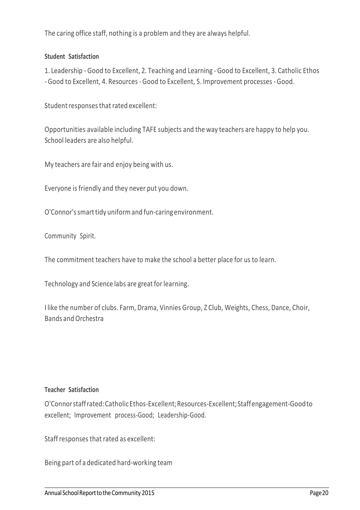The caring office staff, nothing is a problem and they are always helpful.

## **Student Satisfaction**

1. Leadership - Good to Excellent, 2. Teaching and Learning - Good to Excellent, 3. Catholic Ethos - Good to Excellent, 4. Resources - Good to Excellent, 5. Improvement processes -Good.

Student responses that rated excellent:

Opportunities available including TAFE subjects and the way teachers are happy to help you. School leaders are also helpful.

My teachers are fair and enjoy being with us.

Everyone is friendly and they never put you down.

O'Connor's smart tidy uniform and fun-caring environment.

Community Spirit.

The commitment teachers have to make the school a better place for us to learn.

Technology and Science labs are great for learning.

I like the number of clubs. Farm, Drama, Vinnies Group, Z Club, Weights, Chess, Dance, Choir, Bands andOrchestra

### **Teacher Satisfaction**

O'Connorstaffrated:CatholicEthos-Excellent;Resources-Excellent;Staffengagement-Goodto excellent; Improvement process-Good; Leadership-Good.

Staff responses that rated as excellent:

Being part of a dedicated hard-working team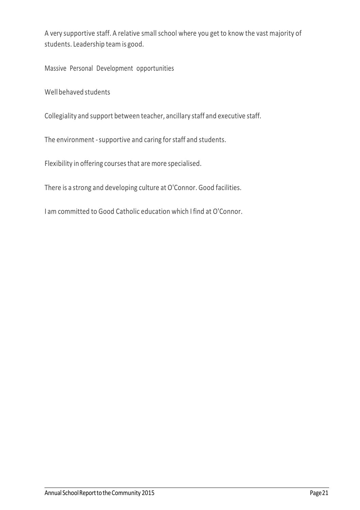A very supportive staff. A relative small school where you get to know the vast majority of students. Leadership team is good.

Massive Personal Development opportunities

Well behaved students

Collegiality and support between teacher, ancillary staff and executive staff.

The environment - supportive and caring for staff and students.

Flexibility in offering coursesthat are more specialised.

There is a strong and developing culture at O'Connor. Good facilities.

I am committed to Good Catholic education which I find at O'Connor.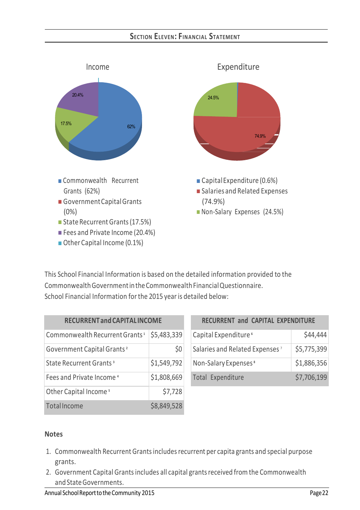# **SECTION ELEVEN: FINANCIAL STATEMENT**



■ Other Capital Income (0.1%)

This School Financial Information is based on the detailed information provided to the Commonwealth Government in the Commonwealth Financial Questionnaire. School Financial Information forthe 2015 year is detailed below:

| <b>RECURRENT and CAPITAL INCOME</b>        |             |  |  |  |
|--------------------------------------------|-------------|--|--|--|
| Commonwealth Recurrent Grants <sup>1</sup> | \$5,483,339 |  |  |  |
| Government Capital Grants <sup>2</sup>     | \$0         |  |  |  |
| State Recurrent Grants <sup>3</sup>        | \$1,549,792 |  |  |  |
| Fees and Private Income <sup>4</sup>       | \$1,808,669 |  |  |  |
| Other Capital Income <sup>5</sup>          | \$7,728     |  |  |  |
| TotalIncome                                | \$8,849,528 |  |  |  |

| RECURRENT and CAPITAL EXPENDITURE          |             |
|--------------------------------------------|-------------|
| Capital Expenditure <sup>6</sup>           | \$44,444    |
| Salaries and Related Expenses <sup>7</sup> | \$5,775,399 |
| Non-Salary Expenses <sup>8</sup>           | \$1,886,356 |
| Total Expenditure                          | \$7,706,199 |

### **Notes**

- 1. Commonwealth Recurrent Grantsincludesrecurrent per capita grants and special purpose grants.
- 2. Government Capital Grants includes all capital grants received from the Commonwealth and StateGovernments.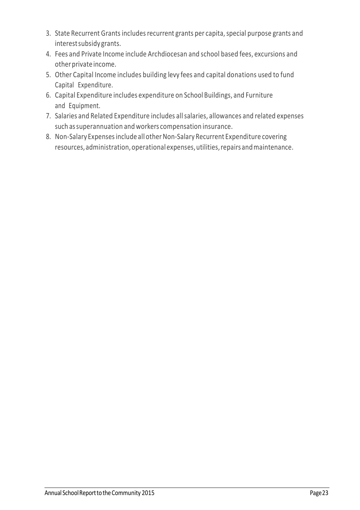- 3. State Recurrent Grants includes recurrent grants per capita, special purpose grants and interestsubsidy grants.
- 4. Fees and Private Income include Archdiocesan and school based fees, excursions and other private income.
- 5. Other Capital Income includes building levy fees and capital donations used to fund Capital Expenditure.
- 6. Capital Expenditure includes expenditure on School Buildings, and Furniture and Equipment.
- 7. Salaries and Related Expenditure includes allsalaries, allowances and related expenses such assuperannuation and workers compensation insurance.
- 8. Non-Salary Expenses include all other Non-Salary Recurrent Expenditure covering resources,administration,operational expenses,utilities,repairs andmaintenance.